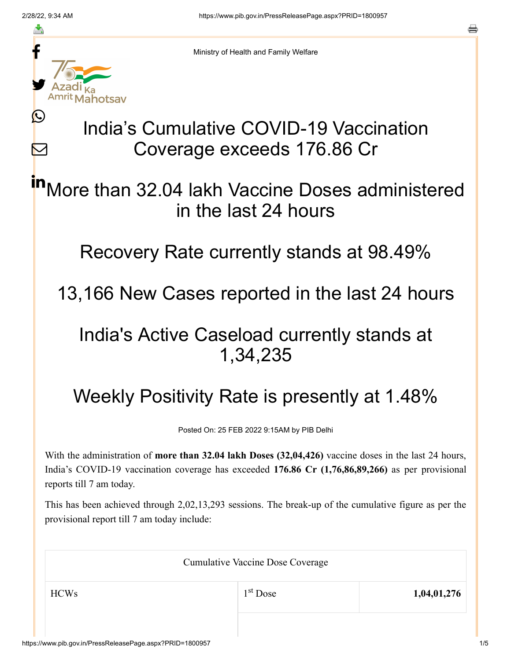≛

Ŀ

 $\bm{\nabla}$ 



Ministry of Health and Family Welfare

# India's Cumulative COVID-19 Vaccination Coverage exceeds 176.86 Cr

More than 32.04 lakh Vaccine Doses administered in the last 24 hours in

Recovery Rate currently stands at 98.49%

13,166 New Cases reported in the last 24 hours

### India's Active Caseload currently stands at 1,34,235

## Weekly Positivity Rate is presently at 1.48%

Posted On: 25 FEB 2022 9:15AM by PIB Delhi

With the administration of **more than 32.04 lakh Doses (32,04,426)** vaccine doses in the last 24 hours, India's COVID-19 vaccination coverage has exceeded **176.86 Cr (1,76,86,89,266)** as per provisional reports till 7 am today.

This has been achieved through 2,02,13,293 sessions. The break-up of the cumulative figure as per the provisional report till 7 am today include:

| <b>Cumulative Vaccine Dose Coverage</b> |            |             |  |
|-----------------------------------------|------------|-------------|--|
| <b>HCWs</b>                             | $1st$ Dose | 1,04,01,276 |  |
|                                         |            |             |  |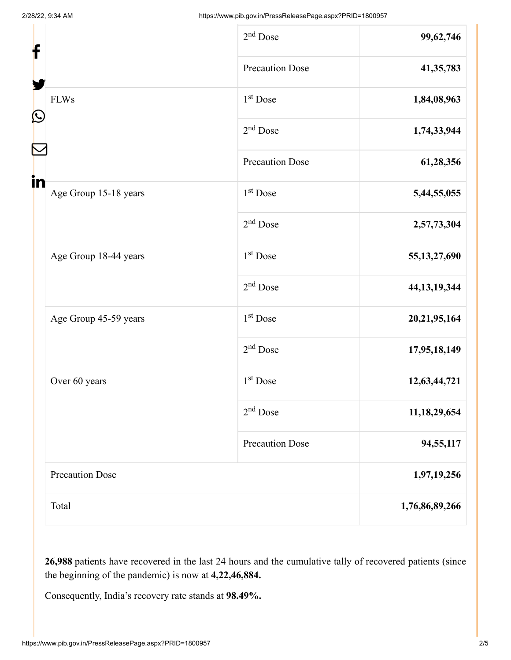| f                                |  | $2nd$ Dose             | 99,62,746       |
|----------------------------------|--|------------------------|-----------------|
|                                  |  | <b>Precaution Dose</b> | 41, 35, 783     |
| <b>FLWs</b><br>$\mathbf{\Omega}$ |  | 1 <sup>st</sup> Dose   | 1,84,08,963     |
|                                  |  | $2nd$ Dose             | 1,74,33,944     |
|                                  |  | <b>Precaution Dose</b> | 61,28,356       |
| in<br>Age Group 15-18 years      |  | 1 <sup>st</sup> Dose   | 5,44,55,055     |
|                                  |  | $2nd$ Dose             | 2,57,73,304     |
| Age Group 18-44 years            |  | 1 <sup>st</sup> Dose   | 55, 13, 27, 690 |
|                                  |  | $2nd$ Dose             | 44, 13, 19, 344 |
| Age Group 45-59 years            |  | 1 <sup>st</sup> Dose   | 20,21,95,164    |
|                                  |  | $2nd$ Dose             | 17,95,18,149    |
| Over 60 years                    |  | 1 <sup>st</sup> Dose   | 12,63,44,721    |
|                                  |  | $2nd$ Dose             | 11, 18, 29, 654 |
|                                  |  | <b>Precaution Dose</b> | 94,55,117       |
| <b>Precaution Dose</b>           |  | 1,97,19,256            |                 |
| Total                            |  | 1,76,86,89,266         |                 |

**26,988** patients have recovered in the last 24 hours and the cumulative tally of recovered patients (since the beginning of the pandemic) is now at **4,22,46,884.**

Consequently, India's recovery rate stands at **98.49%.**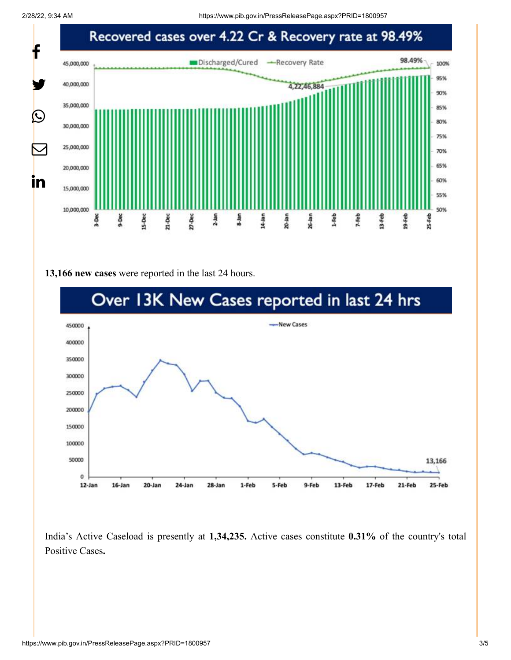2/28/22, 9:34 AM https://www.pib.gov.in/PressReleasePage.aspx?PRID=1800957



#### **13,166 new cases** were reported in the last 24 hours.



India's Active Caseload is presently at **1,34,235.** Active cases constitute **0.31%** of the country's total Positive Cases**.**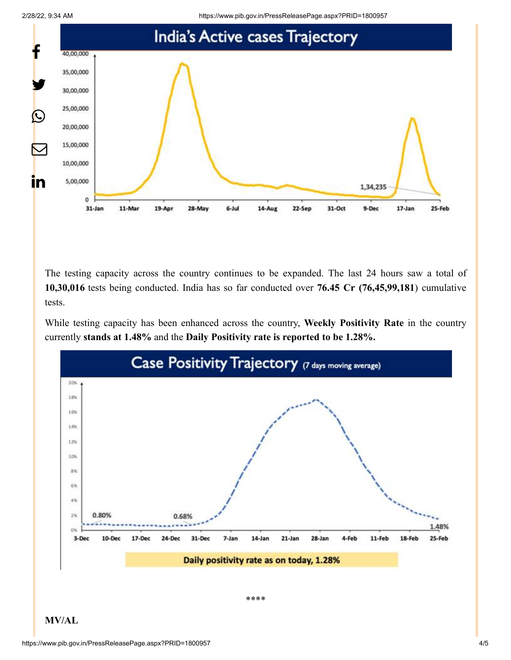



The testing capacity across the country continues to be expanded. The last 24 hours saw a total of **10,30,016** tests being conducted. India has so far conducted over **76.45 Cr (76,45,99,181**) cumulative tests.

While testing capacity has been enhanced across the country, **Weekly Positivity Rate** in the country currently **stands at 1.48%** and the **Daily Positivity rate is reported to be 1.28%.**



**MV/AL**